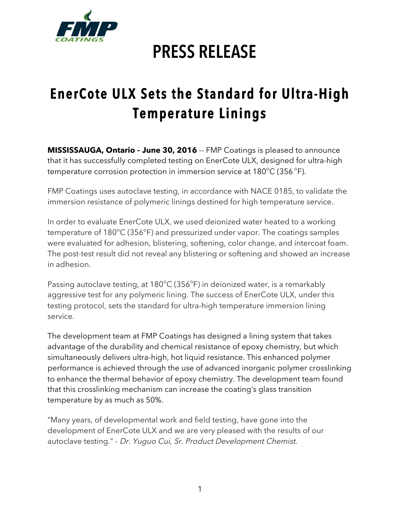

## **PRESS RELEASE**

## **EnerCote ULX Sets the Standard for Ultra-High Temperature Linings**

**MISSISSAUGA, Ontario – June 30, 2016** -- FMP Coatings is pleased to announce that it has successfully completed testing on EnerCote ULX, designed for ultra-high temperature corrosion protection in immersion service at 180°C (356 °F).

FMP Coatings uses autoclave testing, in accordance with NACE 0185, to validate the immersion resistance of polymeric linings destined for high temperature service.

In order to evaluate EnerCote ULX, we used deionized water heated to a working temperature of 180°C (356°F) and pressurized under vapor. The coatings samples were evaluated for adhesion, blistering, softening, color change, and intercoat foam. The post-test result did not reveal any blistering or softening and showed an increase in adhesion.

Passing autoclave testing, at 180°C (356°F) in deionized water, is a remarkably aggressive test for any polymeric lining. The success of EnerCote ULX, under this testing protocol, sets the standard for ultra-high temperature immersion lining service.

The development team at FMP Coatings has designed a lining system that takes advantage of the durability and chemical resistance of epoxy chemistry, but which simultaneously delivers ultra-high, hot liquid resistance. This enhanced polymer performance is achieved through the use of advanced inorganic polymer crosslinking to enhance the thermal behavior of epoxy chemistry. The development team found that this crosslinking mechanism can increase the coating's glass transition temperature by as much as 50%.

"Many years, of developmental work and field testing, have gone into the development of EnerCote ULX and we are very pleased with the results of our autoclave testing." - Dr. Yuguo Cui, Sr. Product Development Chemist.